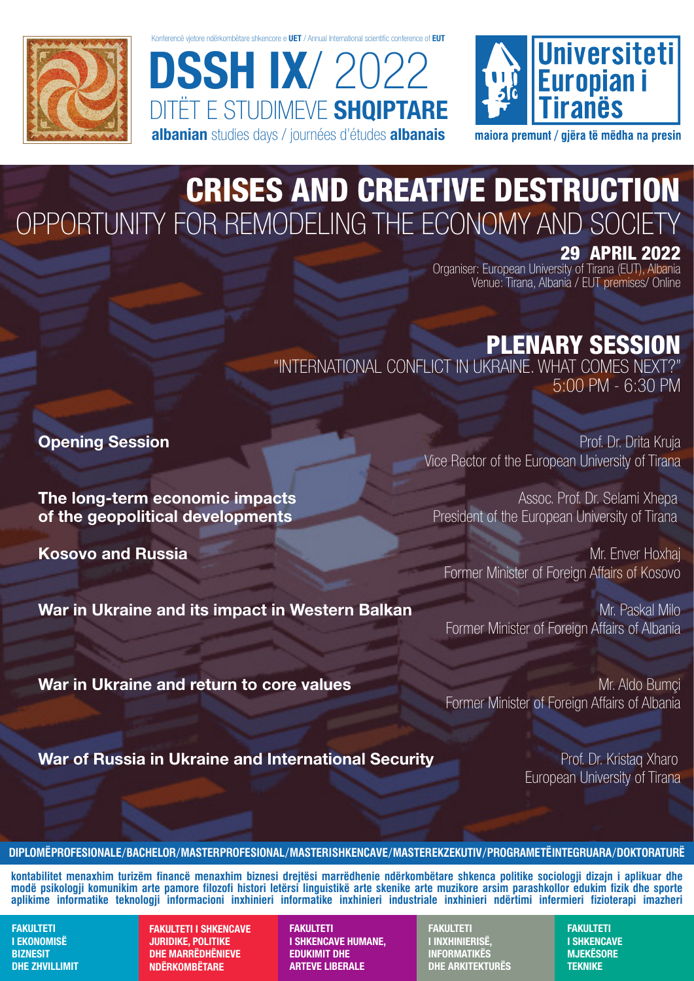

Konferencë vjetore ndërkombëtare shkencore e UET / Annual International scientific conference of EUT

DSSH IX/ 2022 DITËT E STUDIMEVE **SHQIPTARE** albanian studies days / journées d'études albanais



maiora premunt / giëra të mëdha na presin

### CRISES AND CREATIVE DESTRUCTION OPPORTUNITY FOR REMODELING THE ECONOMY AND SOCIETY

29 APRIL 2022

Organiser: European University of Tirana (EUT), Albania Venue: Tirana, Albania / EUT premises/ Online

#### PLENARY SESSION

"INTERNATIONAL CONFLICT IN UKRAINE. WHAT COMES NEXT?" 5:00 PM - 6:30 PM

**The long-term economic impacts** Assoc. Prof. Dr. Selami Xhepa of the geopolitical developments **President of the European University of Tirana** 

War in Ukraine and its impact in Western Balkan Music Controller Mr. Paskal Milo

**Opening Session Prof. Dr. Drita Kruja** Vice Rector of the European University of Tirana

Kosovo and Russia Mr. Enver Hoxhai Mr. Enver Hoxhai Mr. Enver Hoxhai Former Minister of Foreign Affairs of Kosovo

Former Minister of Foreign Affairs of Albania

**War in Ukraine and return to core values** Manual Corea And Mr. Aldo Bumci Former Minister of Foreign Affairs of Albania

War of Russia in Ukraine and International Security **Profession Prof. Dr. Kristag Xharo** 

European University of Tirana

**DIPLOMË PROFESIONALE / BACHELOR / MASTER PROFESIONAL / MASTER I SHKENCAVE / MASTER EKZEKUTIV / PROGRAME TË INTEGRUARA / DOKTORATURË**

**kontabilitet menaxhim turizëm financë menaxhim biznesi drejtësi marrëdhenie ndërkombëtare shkenca politike sociologji dizajn i aplikuar dhe modë psikologji komunikim arte pamore filozofi histori letërsi linguistikë arte skenike arte muzikore arsim parashkollor edukim fizik dhe sporte aplikime informatike teknologji informacioni inxhinieri informatike inxhinieri industriale inxhinieri ndërtimi infermieri fizioterapi imazheri**

FAKULTETI I EKONOMISË **BIZNESIT** DHE ZHVILLIMIT

FAKULTETI I SHKENCAVE JURIDIKE, POLITIKE DHE MARRËDHËNIEVE NDËRKOMBËTARE

FAKULTETI I SHKENCAVE HUMANE, EDUKIMIT DHE ARTEVE LIBERALE

**FAKULTETI** I INXHINIERISË, **INFORMATIKËS** DHE ARKITEKTURËS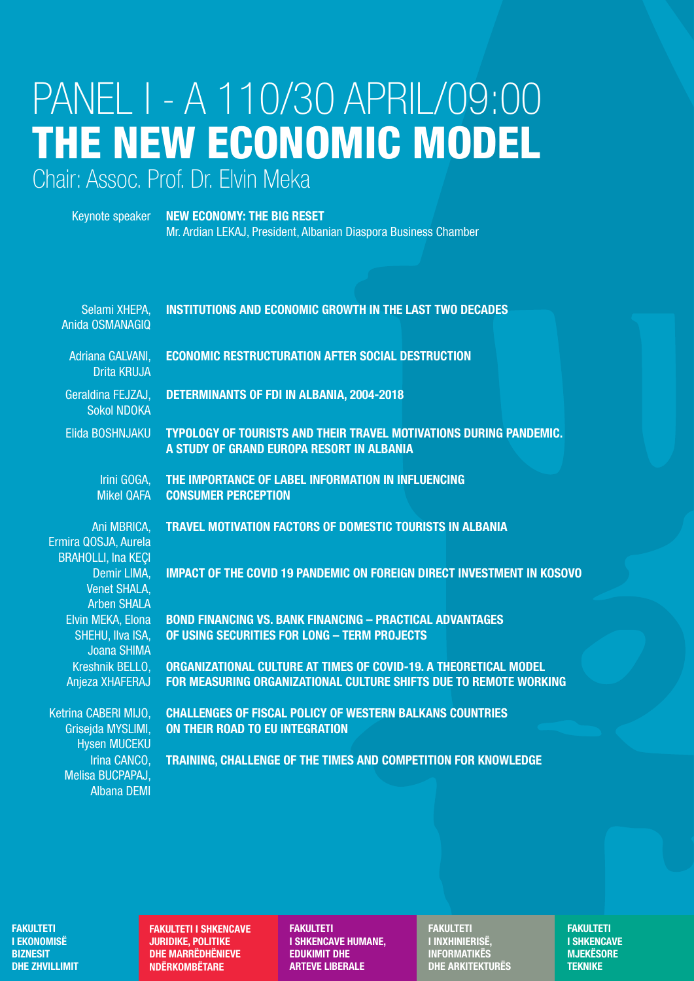# PANEL I - A 110/30 APRIL/09:00 THE NEW ECONOMIC MODEL

Chair: Assoc. Prof. Dr. Elvin Meka

**NEW ECONOMY: THE BIG RESET** Keynote speaker Mr. Ardian LEKAJ, President, Albanian Diaspora Business Chamber

| Selami XHEPA,<br>Anida OSMANAGIQ                                 | <b>INSTITUTIONS AND ECONOMIC GROWTH IN THE LAST TWO DECADES</b>                                                                       |
|------------------------------------------------------------------|---------------------------------------------------------------------------------------------------------------------------------------|
| Adriana GALVANI,<br><b>Drita KRUJA</b>                           | <b>ECONOMIC RESTRUCTURATION AFTER SOCIAL DESTRUCTION</b>                                                                              |
| Geraldina FEJZAJ,<br><b>Sokol NDOKA</b>                          | <b>DETERMINANTS OF FDI IN ALBANIA, 2004-2018</b>                                                                                      |
| Elida BOSHNJAKU                                                  | <b>TYPOLOGY OF TOURISTS AND THEIR TRAVEL MOTIVATIONS DURING PANDEMIC.</b><br>A STUDY OF GRAND EUROPA RESORT IN ALBANIA                |
| Irini GOGA,<br><b>Mikel QAFA</b>                                 | THE IMPORTANCE OF LABEL INFORMATION IN INFLUENCING<br><b>CONSUMER PERCEPTION</b>                                                      |
| Ani MBRICA,<br>Ermira QOSJA, Aurela<br><b>BRAHOLLI, Ina KEÇI</b> | <b>TRAVEL MOTIVATION FACTORS OF DOMESTIC TOURISTS IN ALBANIA</b>                                                                      |
| Demir LIMA,<br><b>Venet SHALA,</b><br><b>Arben SHALA</b>         | <b>IMPACT OF THE COVID 19 PANDEMIC ON FOREIGN DIRECT INVESTMENT IN KOSOVO</b>                                                         |
| Elvin MEKA, Elona<br>SHEHU, IIva ISA,<br><b>Joana SHIMA</b>      | <b>BOND FINANCING VS. BANK FINANCING - PRACTICAL ADVANTAGES</b><br>OF USING SECURITIES FOR LONG - TERM PROJECTS                       |
| Kreshnik BELLO,<br>Anjeza XHAFERAJ                               | ORGANIZATIONAL CULTURE AT TIMES OF COVID-19. A THEORETICAL MODEL<br>FOR MEASURING ORGANIZATIONAL CULTURE SHIFTS DUE TO REMOTE WORKING |
| Ketrina CABERI MIJO,<br>Grisejda MYSLIMI,<br><b>Hysen MUCEKU</b> | <b>CHALLENGES OF FISCAL POLICY OF WESTERN BALKANS COUNTRIES</b><br><b>ON THEIR ROAD TO EU INTEGRATION</b>                             |
| Irina CANCO,<br>Melisa BUCPAPAJ,<br><b>Albana DEMI</b>           | TRAINING, CHALLENGE OF THE TIMES AND COMPETITION FOR KNOWLEDGE                                                                        |

**FAKULTETI I EKONOMISË BIZNESIT DHE ZHVILLIMIT**  **FAKULTETI I SHKENCAVE JURIDIKE, POLITIKE DHE MARRËDHËNIEVE NDËRKOMBËTARE** 

**FAKULTETI I SHKENCAVE HUMANE, EDUKIMIT DHE ARTEVE LIBERALE** 

**FAKULTETI I INXHINIERISË, INFORMATIKËS DHE ARKITEKTURËS**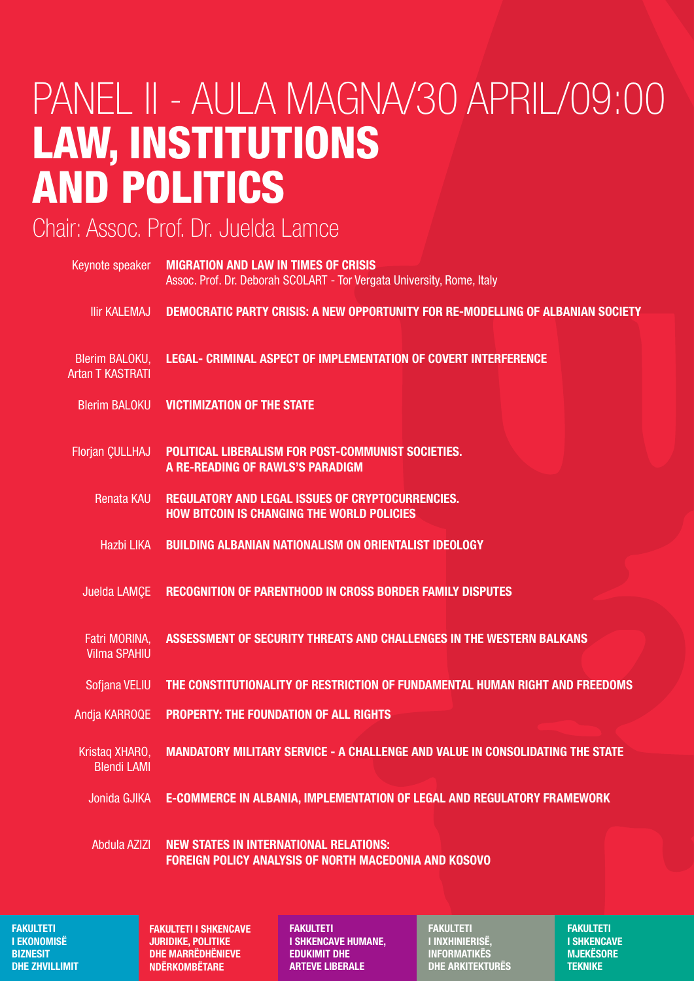### PANEL II - AULA MAGNA/30 APRIL/09:00 LAW, INSTITUTIONS AND POLITICS

#### Chair: Assoc. Prof. Dr. Juelda Lamce

| Keynote speaker                           | <b>MIGRATION AND LAW IN TIMES OF CRISIS</b><br>Assoc. Prof. Dr. Deborah SCOLART - Tor Vergata University, Rome, Italy |
|-------------------------------------------|-----------------------------------------------------------------------------------------------------------------------|
| <b>Ilir KALEMAJ</b>                       | <b>DEMOCRATIC PARTY CRISIS: A NEW OPPORTUNITY FOR RE-MODELLING OF ALBANIAN SOCIETY</b>                                |
| Blerim BALOKU,<br><b>Artan T KASTRATI</b> | <b>LEGAL- CRIMINAL ASPECT OF IMPLEMENTATION OF COVERT INTERFERENCE</b>                                                |
| <b>Blerim BALOKU</b>                      | <b>VICTIMIZATION OF THE STATE</b>                                                                                     |
| Florjan CULLHAJ                           | POLITICAL LIBERALISM FOR POST-COMMUNIST SOCIETIES.<br>A RE-READING OF RAWLS'S PARADIGM                                |
| <b>Renata KAU</b>                         | REGULATORY AND LEGAL ISSUES OF CRYPTOCURRENCIES.<br><b>HOW BITCOIN IS CHANGING THE WORLD POLICIES</b>                 |
| <b>Hazbi LIKA</b>                         | <b>BUILDING ALBANIAN NATIONALISM ON ORIENTALIST IDEOLOGY</b>                                                          |
| Juelda LAMÇE                              | <b>RECOGNITION OF PARENTHOOD IN CROSS BORDER FAMILY DISPUTES</b>                                                      |
| Fatri MORINA,<br><b>Vilma SPAHIU</b>      | ASSESSMENT OF SECURITY THREATS AND CHALLENGES IN THE WESTERN BALKANS                                                  |
| Sofjana VELIU                             | THE CONSTITUTIONALITY OF RESTRICTION OF FUNDAMENTAL HUMAN RIGHT AND FREEDOMS                                          |
| Andja KARROQE                             | <b>PROPERTY: THE FOUNDATION OF ALL RIGHTS</b>                                                                         |
| Kristag XHARO,<br><b>Blendi LAMI</b>      | <b>MANDATORY MILITARY SERVICE - A CHALLENGE AND VALUE IN CONSOLIDATING THE STATE</b>                                  |
| Jonida GJIKA                              | E-COMMERCE IN ALBANIA, IMPLEMENTATION OF LEGAL AND REGULATORY FRAMEWORK                                               |
| <b>Abdula AZIZI</b>                       | <b>NEW STATES IN INTERNATIONAL RELATIONS:</b>                                                                         |

FOREIGN POLICY ANALYSIS OF NORTH MACEDONIA AND KOSOVO

FAKULTETI I EKONOMISË **BIZNESIT** DHE ZHVILLIMIT FAKULTETI I SHKENCAVE JURIDIKE, POLITIKE DHE MARRËDHËNIEVE NDËRKOMBËTARE

FAKULTETI I SHKENCAVE HUMANE, EDUKIMIT DHE ARTEVE LIBERALE

FAKULTETI I INXHINIERISË, **INFORMATIKËS** DHE ARKITEKTURËS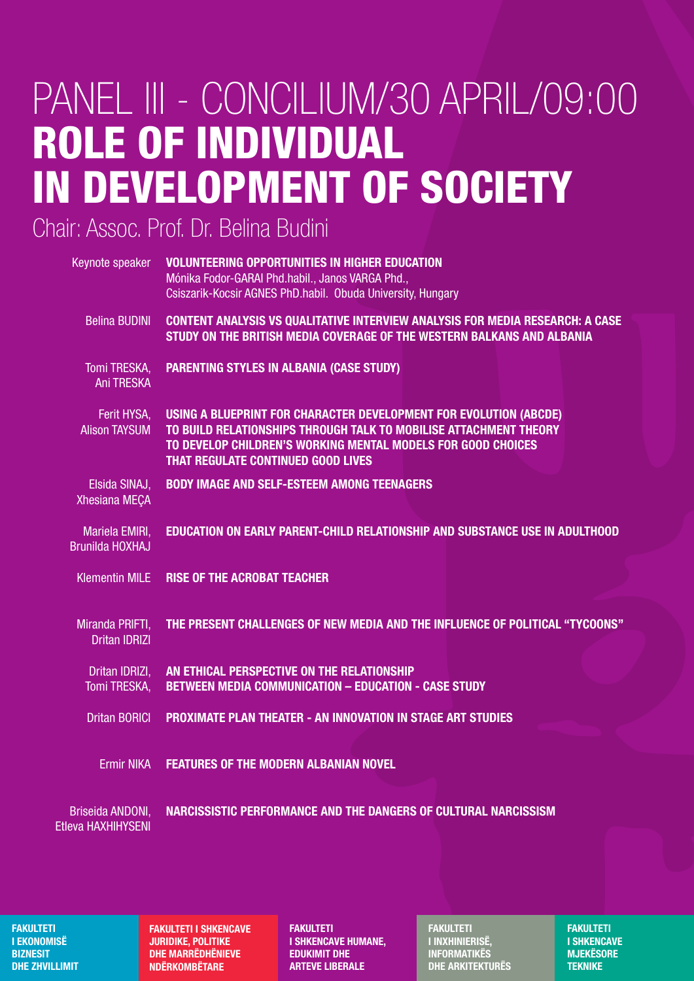## PANEL III - CONCILIUM/30 APRIL/09:00 ROLE OF INDIVIDUAL IN DEVELOPMENT OF SOCIETY

Chair: Assoc. Prof. Dr. Belina Budini

| Keynote speaker                          | <b>VOLUNTEERING OPPORTUNITIES IN HIGHER EDUCATION</b><br>Mónika Fodor-GARAI Phd.habil., Janos VARGA Phd.,<br>Csiszarik-Kocsir AGNES PhD.habil. Obuda University, Hungary                                                                            |
|------------------------------------------|-----------------------------------------------------------------------------------------------------------------------------------------------------------------------------------------------------------------------------------------------------|
| <b>Belina BUDINI</b>                     | <b>CONTENT ANALYSIS VS QUALITATIVE INTERVIEW ANALYSIS FOR MEDIA RESEARCH: A CASE</b><br>STUDY ON THE BRITISH MEDIA COVERAGE OF THE WESTERN BALKANS AND ALBANIA                                                                                      |
| Tomi TRESKA,<br><b>Ani TRESKA</b>        | <b>PARENTING STYLES IN ALBANIA (CASE STUDY)</b>                                                                                                                                                                                                     |
| Ferit HYSA,<br><b>Alison TAYSUM</b>      | USING A BLUEPRINT FOR CHARACTER DEVELOPMENT FOR EVOLUTION (ABCDE)<br>TO BUILD RELATIONSHIPS THROUGH TALK TO MOBILISE ATTACHMENT THEORY<br>TO DEVELOP CHILDREN'S WORKING MENTAL MODELS FOR GOOD CHOICES<br><b>THAT REGULATE CONTINUED GOOD LIVES</b> |
| Elsida SINAJ,<br>Xhesiana MEÇA           | <b>BODY IMAGE AND SELF-ESTEEM AMONG TEENAGERS</b>                                                                                                                                                                                                   |
| Mariela EMIRI,<br><b>Brunilda HOXHAJ</b> | <b>EDUCATION ON EARLY PARENT-CHILD RELATIONSHIP AND SUBSTANCE USE IN ADULTHOOD</b>                                                                                                                                                                  |
| <b>Klementin MILE</b>                    | <b>RISE OF THE ACROBAT TEACHER</b>                                                                                                                                                                                                                  |
| Miranda PRIFTI,<br><b>Dritan IDRIZI</b>  | THE PRESENT CHALLENGES OF NEW MEDIA AND THE INFLUENCE OF POLITICAL "TYCOONS"                                                                                                                                                                        |
| Dritan IDRIZI,<br>Tomi TRESKA,           | AN ETHICAL PERSPECTIVE ON THE RELATIONSHIP<br><b>BETWEEN MEDIA COMMUNICATION - EDUCATION - CASE STUDY</b>                                                                                                                                           |
| <b>Dritan BORICI</b>                     | <b>PROXIMATE PLAN THEATER - AN INNOVATION IN STAGE ART STUDIES</b>                                                                                                                                                                                  |
| <b>Ermir NIKA</b>                        | <b>FEATURES OF THE MODERN ALBANIAN NOVEL</b>                                                                                                                                                                                                        |
| Briseida ANDONI,<br>Etleva HAXHIHYSENI   | NARCISSISTIC PERFORMANCE AND THE DANGERS OF CULTURAL NARCISSISM                                                                                                                                                                                     |

FAKULTETI I EKONOMISË **BIZNESIT** DHE ZHVILLIMIT FAKULTETI I SHKENCAVE JURIDIKE, POLITIKE DHE MARRËDHËNIEVE NDËRKOMBËTARE

FAKULTETI I SHKENCAVE HUMANE, EDUKIMIT DHE ARTEVE LIBERALE

FAKULTETI I INXHINIERISË, **INFORMATIKËS** DHE ARKITEKTURËS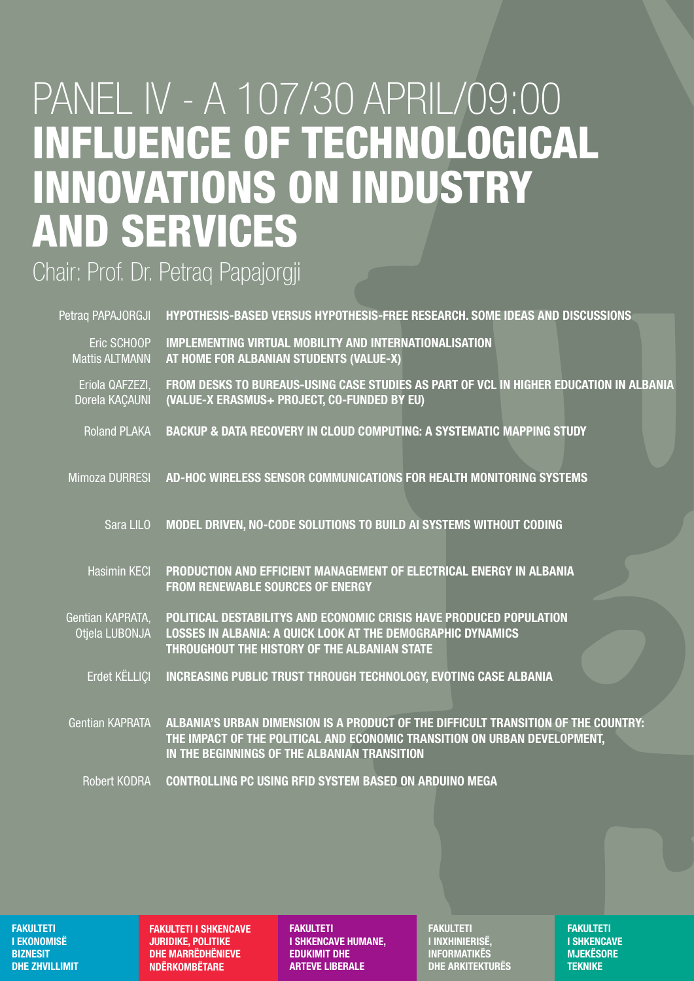### PANEL IV - A 107/30 APRIL/09:00 **INFLUENCE OF TECHNOLOGICAL INNOVATIONS ON INDUSTRY AND SERVICES**

Chair: Prof. Dr. Petraq Papajorgji

| Petraq PAPAJORGJI                    | HYPOTHESIS-BASED VERSUS HYPOTHESIS-FREE RESEARCH. SOME IDEAS AND DISCUSSIONS                                                                                                                                    |
|--------------------------------------|-----------------------------------------------------------------------------------------------------------------------------------------------------------------------------------------------------------------|
| Eric SCHOOP<br><b>Mattis ALTMANN</b> | <b>IMPLEMENTING VIRTUAL MOBILITY AND INTERNATIONALISATION</b><br>AT HOME FOR ALBANIAN STUDENTS (VALUE-X)                                                                                                        |
| Eriola QAFZEZI,<br>Dorela KACAUNI    | FROM DESKS TO BUREAUS-USING CASE STUDIES AS PART OF VCL IN HIGHER EDUCATION IN ALBANIA<br>(VALUE-X ERASMUS+ PROJECT, CO-FUNDED BY EU)                                                                           |
| <b>Roland PLAKA</b>                  | <b>BACKUP &amp; DATA RECOVERY IN CLOUD COMPUTING: A SYSTEMATIC MAPPING STUDY</b>                                                                                                                                |
| <b>Mimoza DURRESI</b>                | AD-HOC WIRELESS SENSOR COMMUNICATIONS FOR HEALTH MONITORING SYSTEMS                                                                                                                                             |
| Sara LILO                            | MODEL DRIVEN, NO-CODE SOLUTIONS TO BUILD AI SYSTEMS WITHOUT CODING                                                                                                                                              |
| <b>Hasimin KECI</b>                  | PRODUCTION AND EFFICIENT MANAGEMENT OF ELECTRICAL ENERGY IN ALBANIA<br><b>FROM RENEWABLE SOURCES OF ENERGY</b>                                                                                                  |
| Gentian KAPRATA.<br>Otiela LUBONJA   | POLITICAL DESTABILITYS AND ECONOMIC CRISIS HAVE PRODUCED POPULATION<br><b>LOSSES IN ALBANIA: A QUICK LOOK AT THE DEMOGRAPHIC DYNAMICS</b><br>THROUGHOUT THE HISTORY OF THE ALBANIAN STATE                       |
| Erdet KELLICI                        | <b>INCREASING PUBLIC TRUST THROUGH TECHNOLOGY, EVOTING CASE ALBANIA</b>                                                                                                                                         |
| <b>Gentian KAPRATA</b>               | ALBANIA'S URBAN DIMENSION IS A PRODUCT OF THE DIFFICULT TRANSITION OF THE COUNTRY:<br>THE IMPACT OF THE POLITICAL AND ECONOMIC TRANSITION ON URBAN DEVELOPMENT,<br>IN THE BEGINNINGS OF THE ALBANIAN TRANSITION |
| <b>Robert KODRA</b>                  | <b>CONTROLLING PC USING RFID SYSTEM BASED ON ARDUINO MEGA</b>                                                                                                                                                   |

**FAKULTETI I EKONOMISË BIZNESIT DHE ZHVILLIMIT**  **FAKULTETI I SHKENCAVE JURIDIKE, POLITIKE DHE MARRËDHËNIEVE NDËRKOMBËTARE** 

**FAKULTETI I SHKENCAVE HUMANE, EDUKIMIT DHE ARTEVE LIBERALE** 

**FAKULTETI** I INXHINIERISË. **INFORMATIKËS DHE ARKITEKTURËS**